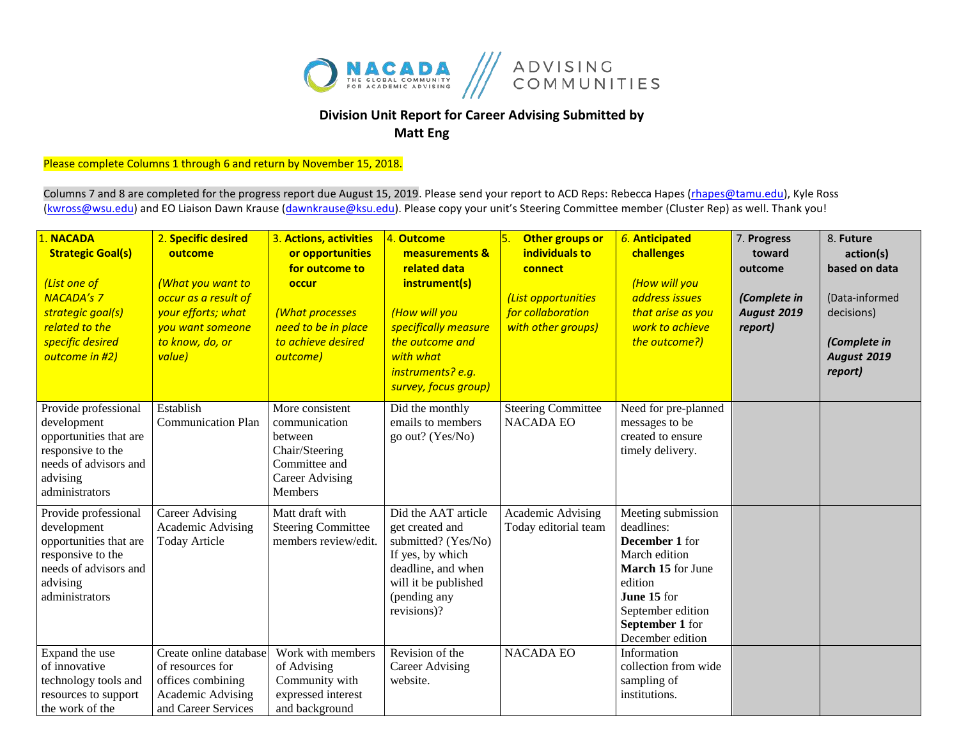

## **Division Unit Report for Career Advising Submitted by Matt Eng**

Please complete Columns 1 through 6 and return by November 15, 2018.

Columns 7 and 8 are completed for the progress report due August 15, 2019. Please send your report to ACD Reps: Rebecca Hapes (rhapes@tamu.edu), Kyle Ross [\(kwross@wsu.edu\)](mailto:kwross@wsu.edu) and EO Liaison Dawn Krause (dawnkrause@ksu.edu). Please copy your unit's Steering Committee member (Cluster Rep) as well. Thank you!

| 1. NACADA<br><b>Strategic Goal(s)</b><br>(List one of<br><b>NACADA's 7</b><br>strategic goal(s)<br>related to the<br>specific desired<br>outcome in #2) | 2. Specific desired<br>outcome<br>(What you want to<br>occur as a result of<br>your efforts; what<br>you want someone<br>to know, do, or<br>value) | 3. Actions, activities<br>or opportunities<br>for outcome to<br>occur<br>(What processes<br>need to be in place<br>to achieve desired<br>outcome) | 4. Outcome<br>measurements &<br>related data<br>instrument(s)<br>(How will you<br>specifically measure<br>the outcome and<br>with what<br>instruments? e.g.<br>survey, focus group) | 5.<br>Other groups or<br>individuals to<br>connect<br>(List opportunities<br>for collaboration<br>with other groups) | 6. Anticipated<br>challenges<br>(How will you<br>address issues<br>that arise as you<br>work to achieve<br>the outcome?)                                                       | 7. Progress<br>toward<br>outcome<br>(Complete in<br><b>August 2019</b><br>report) | 8. Future<br>action(s)<br>based on data<br>(Data-informed<br>decisions)<br>(Complete in<br><b>August 2019</b><br>report) |
|---------------------------------------------------------------------------------------------------------------------------------------------------------|----------------------------------------------------------------------------------------------------------------------------------------------------|---------------------------------------------------------------------------------------------------------------------------------------------------|-------------------------------------------------------------------------------------------------------------------------------------------------------------------------------------|----------------------------------------------------------------------------------------------------------------------|--------------------------------------------------------------------------------------------------------------------------------------------------------------------------------|-----------------------------------------------------------------------------------|--------------------------------------------------------------------------------------------------------------------------|
| Provide professional<br>development<br>opportunities that are<br>responsive to the<br>needs of advisors and<br>advising<br>administrators               | Establish<br><b>Communication Plan</b>                                                                                                             | More consistent<br>communication<br>between<br>Chair/Steering<br>Committee and<br><b>Career Advising</b><br>Members                               | Did the monthly<br>emails to members<br>go out? (Yes/No)                                                                                                                            | <b>Steering Committee</b><br><b>NACADA EO</b>                                                                        | Need for pre-planned<br>messages to be<br>created to ensure<br>timely delivery.                                                                                                |                                                                                   |                                                                                                                          |
| Provide professional<br>development<br>opportunities that are<br>responsive to the<br>needs of advisors and<br>advising<br>administrators               | <b>Career Advising</b><br>Academic Advising<br><b>Today Article</b>                                                                                | Matt draft with<br><b>Steering Committee</b><br>members review/edit.                                                                              | Did the AAT article<br>get created and<br>submitted? (Yes/No)<br>If yes, by which<br>deadline, and when<br>will it be published<br>(pending any<br>revisions)?                      | Academic Advising<br>Today editorial team                                                                            | Meeting submission<br>deadlines:<br>December 1 for<br>March edition<br>March 15 for June<br>edition<br>June 15 for<br>September edition<br>September 1 for<br>December edition |                                                                                   |                                                                                                                          |
| Expand the use<br>of innovative<br>technology tools and<br>resources to support<br>the work of the                                                      | Create online database<br>of resources for<br>offices combining<br>Academic Advising<br>and Career Services                                        | Work with members<br>of Advising<br>Community with<br>expressed interest<br>and background                                                        | Revision of the<br><b>Career Advising</b><br>website.                                                                                                                               | <b>NACADA EO</b>                                                                                                     | Information<br>collection from wide<br>sampling of<br>institutions.                                                                                                            |                                                                                   |                                                                                                                          |